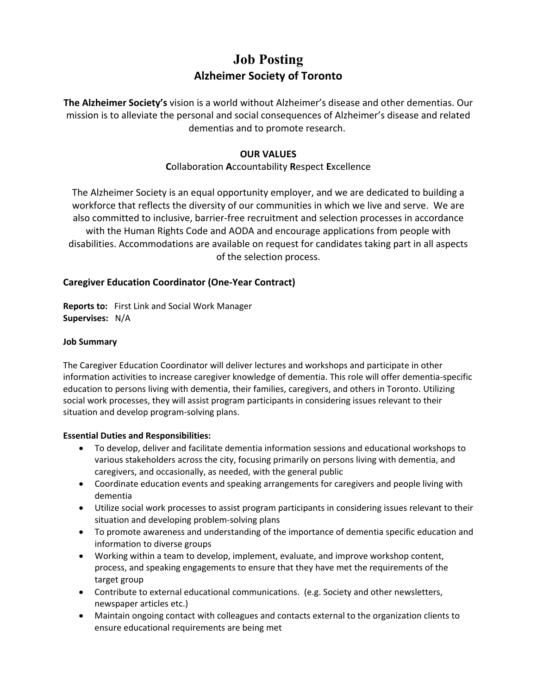## **Job Posting Alzheimer Society of Toronto**

**The Alzheimer Society's** vision is a world without Alzheimer's disease and other dementias. Our mission is to alleviate the personal and social consequences of Alzheimer's disease and related dementias and to promote research.

### **OUR VALUES**

## **C**ollaboration **A**ccountability **R**espect **E**xcellence

The Alzheimer Society is an equal opportunity employer, and we are dedicated to building a workforce that reflects the diversity of our communities in which we live and serve. We are also committed to inclusive, barrier-free recruitment and selection processes in accordance with the Human Rights Code and AODA and encourage applications from people with disabilities. Accommodations are available on request for candidates taking part in all aspects of the selection process.

#### **Caregiver Education Coordinator (One-Year Contract)**

**Reports to:** First Link and Social Work Manager **Supervises:** N/A

#### **Job Summary**

The Caregiver Education Coordinator will deliver lectures and workshops and participate in other information activities to increase caregiver knowledge of dementia. This role will offer dementia-specific education to persons living with dementia, their families, caregivers, and others in Toronto. Utilizing social work processes, they will assist program participants in considering issues relevant to their situation and develop program-solving plans.

#### **Essential Duties and Responsibilities:**

- To develop, deliver and facilitate dementia information sessions and educational workshops to various stakeholders across the city, focusing primarily on persons living with dementia, and caregivers, and occasionally, as needed, with the general public
- Coordinate education events and speaking arrangements for caregivers and people living with dementia
- Utilize social work processes to assist program participants in considering issues relevant to their situation and developing problem-solving plans
- To promote awareness and understanding of the importance of dementia specific education and information to diverse groups
- Working within a team to develop, implement, evaluate, and improve workshop content, process, and speaking engagements to ensure that they have met the requirements of the target group
- Contribute to external educational communications. (e.g. Society and other newsletters, newspaper articles etc.)
- Maintain ongoing contact with colleagues and contacts external to the organization clients to ensure educational requirements are being met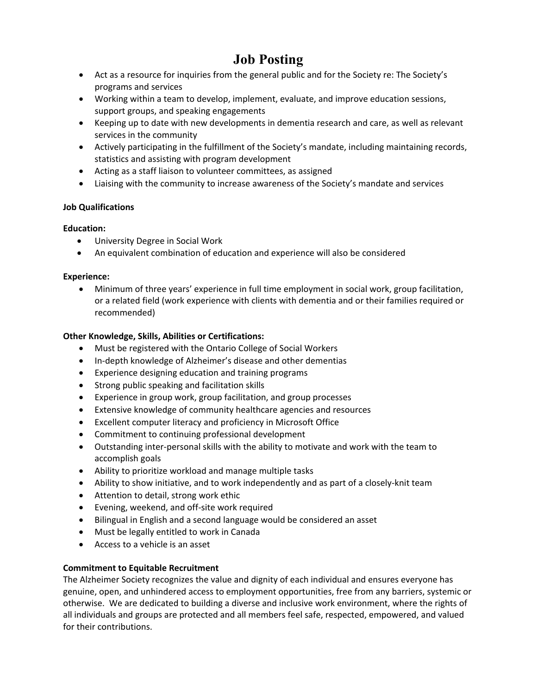# **Job Posting**

- Act as a resource for inquiries from the general public and for the Society re: The Society's programs and services
- Working within a team to develop, implement, evaluate, and improve education sessions, support groups, and speaking engagements
- Keeping up to date with new developments in dementia research and care, as well as relevant services in the community
- Actively participating in the fulfillment of the Society's mandate, including maintaining records, statistics and assisting with program development
- Acting as a staff liaison to volunteer committees, as assigned
- Liaising with the community to increase awareness of the Society's mandate and services

#### **Job Qualifications**

## **Education:**

- University Degree in Social Work
- An equivalent combination of education and experience will also be considered

#### **Experience:**

• Minimum of three years' experience in full time employment in social work, group facilitation, or a related field (work experience with clients with dementia and or their families required or recommended)

#### **Other Knowledge, Skills, Abilities or Certifications:**

- Must be registered with the Ontario College of Social Workers
- In-depth knowledge of Alzheimer's disease and other dementias
- Experience designing education and training programs
- Strong public speaking and facilitation skills
- Experience in group work, group facilitation, and group processes
- Extensive knowledge of community healthcare agencies and resources
- Excellent computer literacy and proficiency in Microsoft Office
- Commitment to continuing professional development
- Outstanding inter-personal skills with the ability to motivate and work with the team to accomplish goals
- Ability to prioritize workload and manage multiple tasks
- Ability to show initiative, and to work independently and as part of a closely-knit team
- Attention to detail, strong work ethic
- Evening, weekend, and off-site work required
- Bilingual in English and a second language would be considered an asset
- Must be legally entitled to work in Canada
- Access to a vehicle is an asset

#### **Commitment to Equitable Recruitment**

The Alzheimer Society recognizes the value and dignity of each individual and ensures everyone has genuine, open, and unhindered access to employment opportunities, free from any barriers, systemic or otherwise. We are dedicated to building a diverse and inclusive work environment, where the rights of all individuals and groups are protected and all members feel safe, respected, empowered, and valued for their contributions.